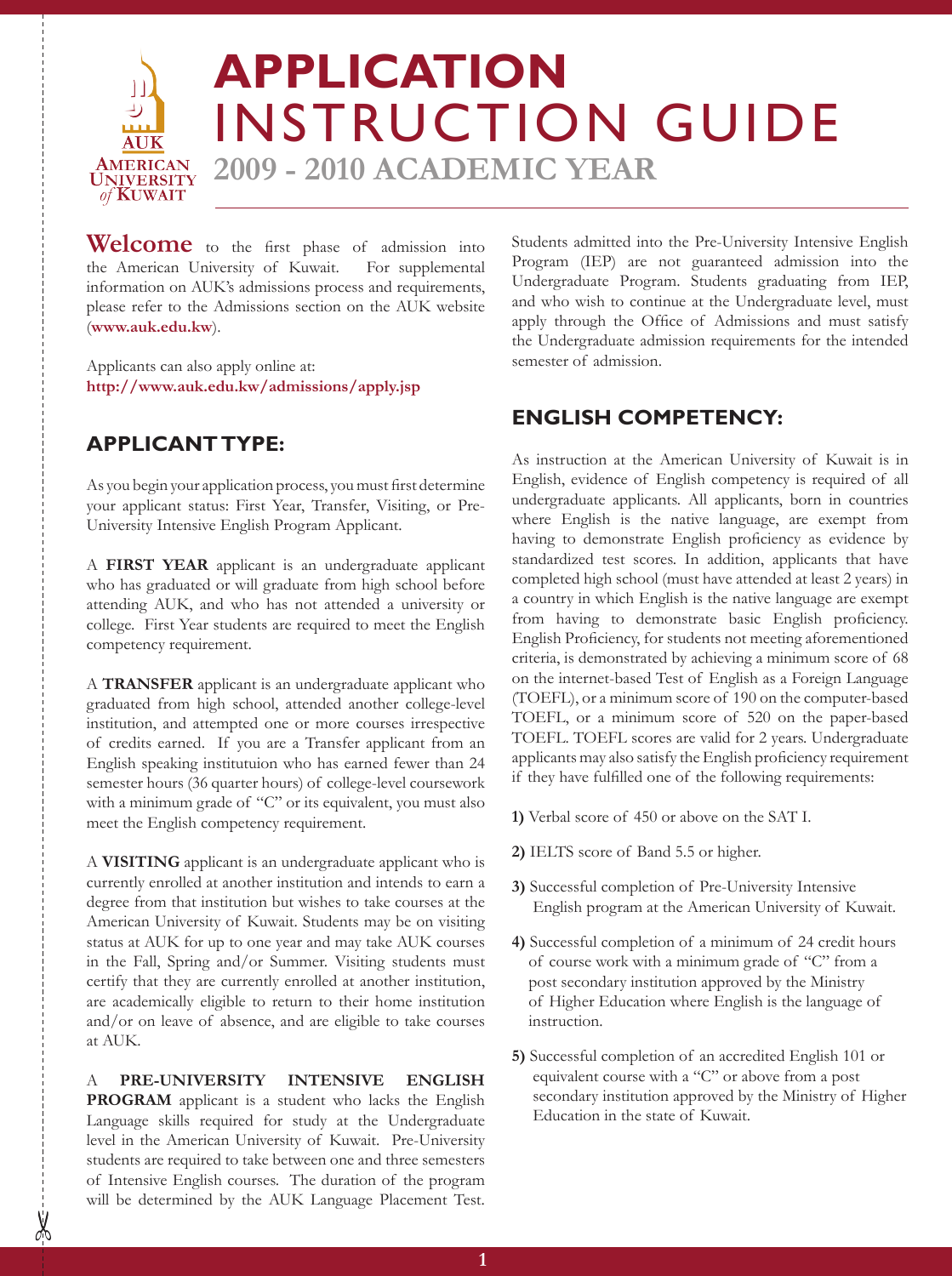

**Welcome** to the first phase of admission into the American University of Kuwait. For supplemental the American University of Kuwait. information on AUK's admissions process and requirements, please refer to the Admissions section on the AUK website (**www.auk.edu.kw**).

Applicants can also apply online at: **http://www.auk.edu.kw/admissions/apply.jsp** 

# **APPLICANT TYPE:**

As you begin your application process, you must first determine your applicant status: First Year, Transfer, Visiting, or Pre-University Intensive English Program Applicant.

A **First Year** applicant is an undergraduate applicant who has graduated or will graduate from high school before attending AUK, and who has not attended a university or college. First Year students are required to meet the English competency requirement.

A **Transfer** applicant is an undergraduate applicant who graduated from high school, attended another college-level institution, and attempted one or more courses irrespective of credits earned. If you are a Transfer applicant from an English speaking institutuion who has earned fewer than 24 semester hours (36 quarter hours) of college-level coursework with a minimum grade of "C" or its equivalent, you must also meet the English competency requirement.

A **Visiting** applicant is an undergraduate applicant who is currently enrolled at another institution and intends to earn a degree from that institution but wishes to take courses at the American University of Kuwait. Students may be on visiting status at AUK for up to one year and may take AUK courses in the Fall, Spring and/or Summer. Visiting students must certify that they are currently enrolled at another institution, are academically eligible to return to their home institution and/or on leave of absence, and are eligible to take courses at AUK.

A **Pre-University Intensive English**  PROGRAM applicant is a student who lacks the English Language skills required for study at the Undergraduate level in the American University of Kuwait. Pre-University students are required to take between one and three semesters of Intensive English courses. The duration of the program will be determined by the AUK Language Placement Test.

Students admitted into the Pre-University Intensive English Program (IEP) are not guaranteed admission into the Undergraduate Program. Students graduating from IEP, and who wish to continue at the Undergraduate level, must apply through the Office of Admissions and must satisfy the Undergraduate admission requirements for the intended semester of admission.

# **ENGLISH COMPETENCY:**

As instruction at the American University of Kuwait is in English, evidence of English competency is required of all undergraduate applicants. All applicants, born in countries where English is the native language, are exempt from having to demonstrate English proficiency as evidence by standardized test scores. In addition, applicants that have completed high school (must have attended at least 2 years) in a country in which English is the native language are exempt from having to demonstrate basic English proficiency. English Proficiency, for students not meeting aforementioned criteria, is demonstrated by achieving a minimum score of 68 on the internet-based Test of English as a Foreign Language (TOEFL), or a minimum score of 190 on the computer-based TOEFL, or a minimum score of 520 on the paper-based TOEFL. TOEFL scores are valid for 2 years. Undergraduate applicants may also satisfy the English proficiency requirement if they have fulfilled one of the following requirements:

- **1)** Verbal score of 450 or above on the SAT I.
- **2)** IELTS score of Band 5.5 or higher.
- **3)** Successful completion of Pre-University Intensive English program at the American University of Kuwait.
- **4)** Successful completion of a minimum of 24 credit hours of course work with a minimum grade of "C" from a post secondary institution approved by the Ministry of Higher Education where English is the language of instruction.
- **5)** Successful completion of an accredited English 101 or equivalent course with a "C" or above from a post secondary institution approved by the Ministry of Higher Education in the state of Kuwait.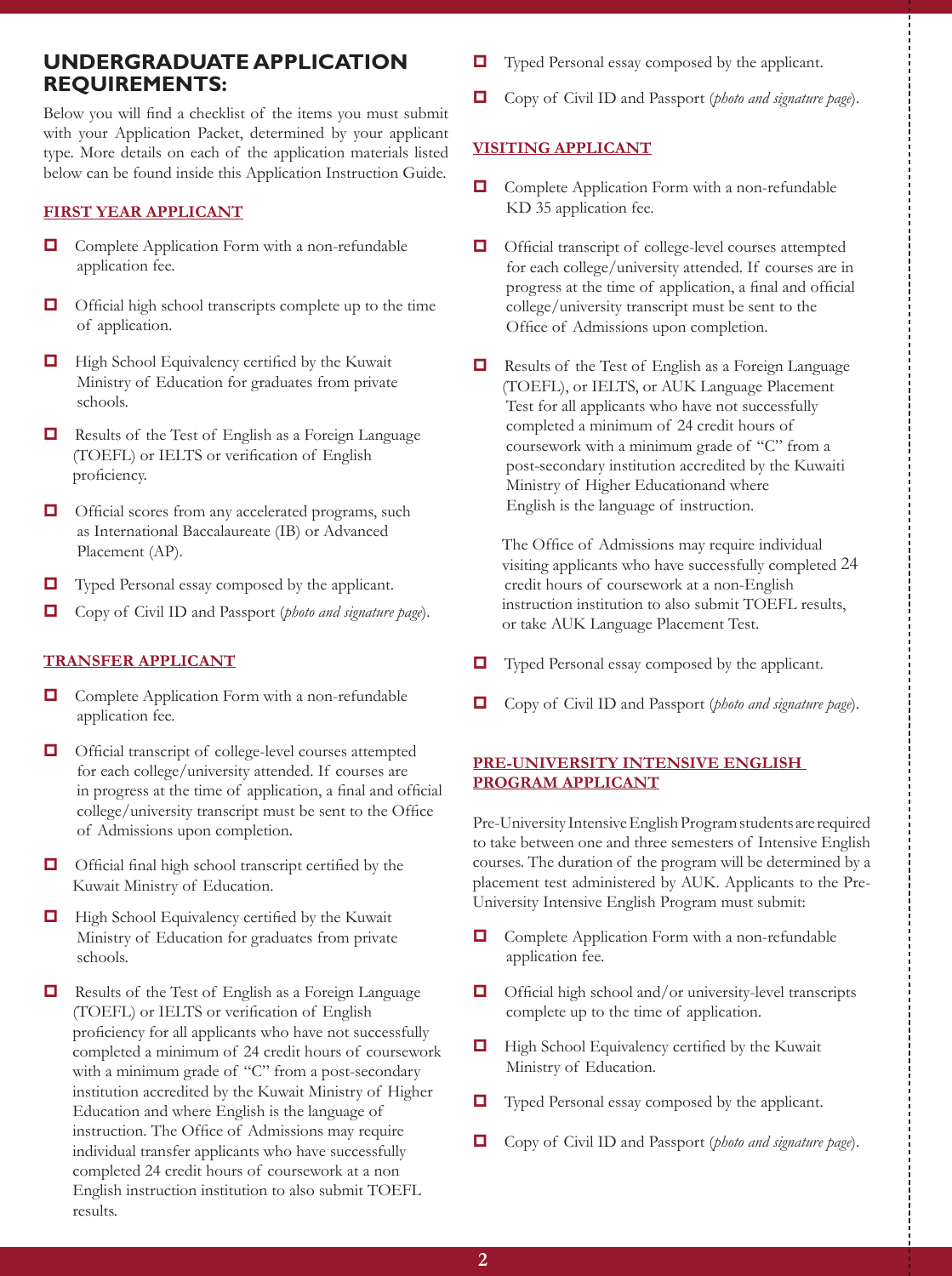## **Undergraduate Application Requirements:**

Below you will find a checklist of the items you must submit with your Application Packet, determined by your applicant type. More details on each of the application materials listed below can be found inside this Application Instruction Guide.

#### **FIRST YEAR APPLICANT**

- $\Box$  Complete Application Form with a non-refundable application fee.
- $\Box$  Official high school transcripts complete up to the time of application.
- $\Box$  High School Equivalency certified by the Kuwait Ministry of Education for graduates from private schools.
- $\Box$  Results of the Test of English as a Foreign Language (TOEFL) or IELTS or verification of English proficiency.
- $\Box$  Official scores from any accelerated programs, such as International Baccalaureate (IB) or Advanced Placement (AP).
- $\Box$  Typed Personal essay composed by the applicant.
- $\Box$  Copy of Civil ID and Passport (*photo and signature page*).

#### **TRANSFER APPLICANT**

- $\Box$  Complete Application Form with a non-refundable application fee.
- $\Box$  Official transcript of college-level courses attempted for each college/university attended. If courses are in progress at the time of application, a final and official college/university transcript must be sent to the Office of Admissions upon completion.
- $\Box$  Official final high school transcript certified by the Kuwait Ministry of Education.
- $\Box$  High School Equivalency certified by the Kuwait Ministry of Education for graduates from private schools.
- $\Box$  Results of the Test of English as a Foreign Language (TOEFL) or IELTS or verification of English proficiency for all applicants who have not successfully completed a minimum of 24 credit hours of coursework with a minimum grade of "C" from a post-secondary institution accredited by the Kuwait Ministry of Higher Education and where English is the language of instruction. The Office of Admissions may require individual transfer applicants who have successfully completed 24 credit hours of coursework at a non English instruction institution to also submit TOEFL results.
- $\Box$  Typed Personal essay composed by the applicant.
- $\Box$  Copy of Civil ID and Passport (*photo and signature page*).

#### **VISITING APPLICANT**

- $\Box$  Complete Application Form with a non-refundable KD 35 application fee.
- $\Box$  Official transcript of college-level courses attempted for each college/university attended. If courses are in progress at the time of application, a final and official college/university transcript must be sent to the Office of Admissions upon completion.
- $\Box$  Results of the Test of English as a Foreign Language (TOEFL), or IELTS, or AUK Language Placement Test for all applicants who have not successfully completed a minimum of 24 credit hours of coursework with a minimum grade of "C" from a post-secondary institution accredited by the Kuwaiti Ministry of Higher Educationand where English is the language of instruction.

 The Office of Admissions may require individual visiting applicants who have successfully completed 24 credit hours of coursework at a non-English instruction institution to also submit TOEFL results, or take AUK Language Placement Test.

- $\Box$  Typed Personal essay composed by the applicant.
- $\Box$  Copy of Civil ID and Passport (*photo and signature page*).

#### **PRE-UNIVERSITY INTENSIVE ENGLISH PROGRAM APPLICANT**

Pre-University Intensive English Program students are required to take between one and three semesters of Intensive English courses. The duration of the program will be determined by a placement test administered by AUK. Applicants to the Pre-University Intensive English Program must submit:

- $\Box$  Complete Application Form with a non-refundable application fee.
- $\Box$  Official high school and/or university-level transcripts complete up to the time of application.
- $\Box$  High School Equivalency certified by the Kuwait Ministry of Education.
- $\Box$  Typed Personal essay composed by the applicant.
- $\Box$  Copy of Civil ID and Passport (*photo and signature page*).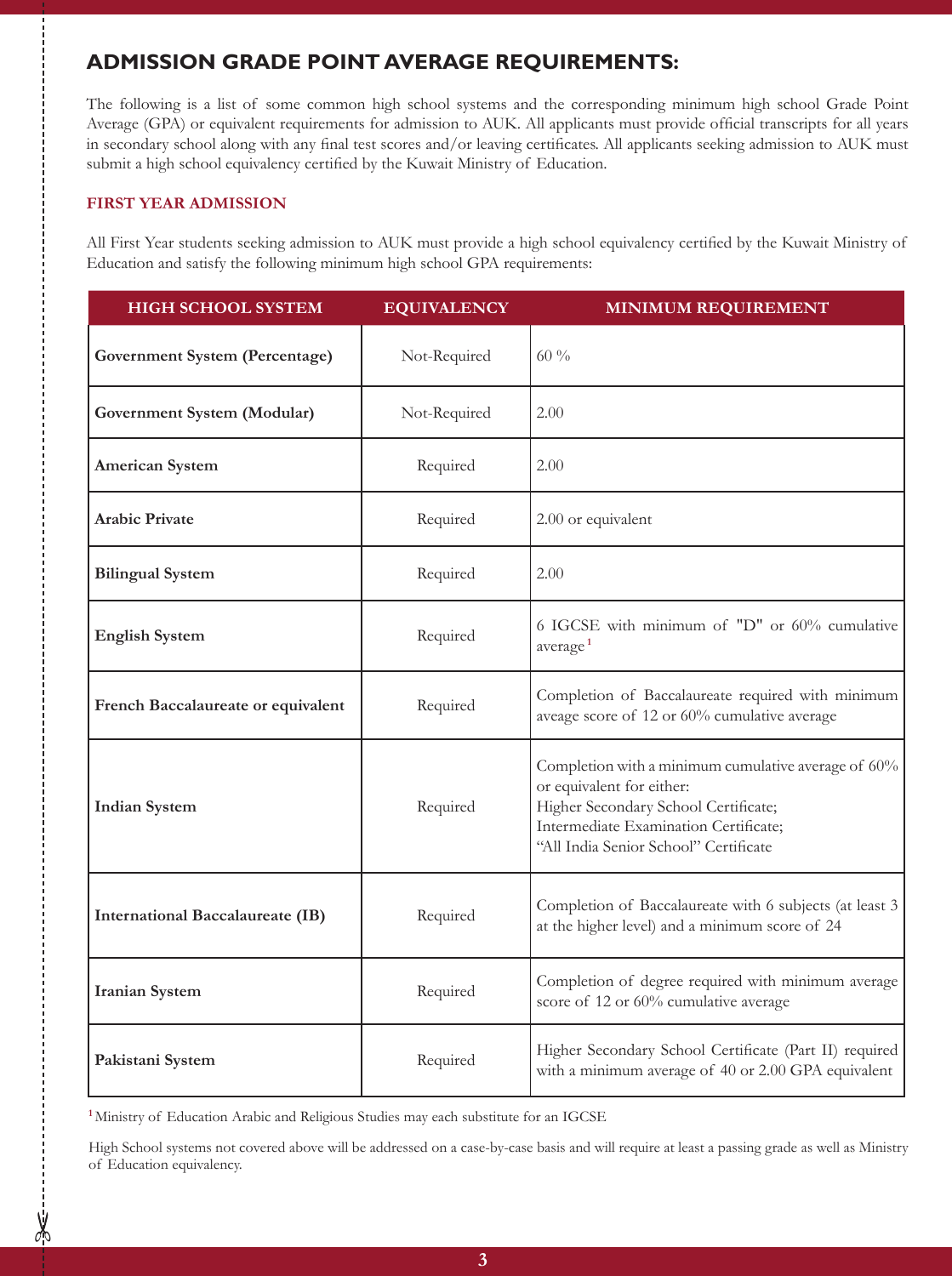# **ADMISSION GRADE POINT AVERAGE REQUIREMENTS:**

The following is a list of some common high school systems and the corresponding minimum high school Grade Point Average (GPA) or equivalent requirements for admission to AUK. All applicants must provide official transcripts for all years in secondary school along with any final test scores and/or leaving certificates. All applicants seeking admission to AUK must submit a high school equivalency certified by the Kuwait Ministry of Education.

### **First Year Admission**

All First Year students seeking admission to AUK must provide a high school equivalency certified by the Kuwait Ministry of Education and satisfy the following minimum high school GPA requirements:

| <b>HIGH SCHOOL SYSTEM</b>               | <b>EQUIVALENCY</b> | <b>MINIMUM REQUIREMENT</b>                                                                                                                                                                                 |
|-----------------------------------------|--------------------|------------------------------------------------------------------------------------------------------------------------------------------------------------------------------------------------------------|
| Government System (Percentage)          | Not-Required       | $60\%$                                                                                                                                                                                                     |
| Government System (Modular)             | Not-Required       | 2.00                                                                                                                                                                                                       |
| <b>American System</b>                  | Required           | 2.00                                                                                                                                                                                                       |
| <b>Arabic Private</b>                   | Required           | 2.00 or equivalent                                                                                                                                                                                         |
| <b>Bilingual System</b>                 | Required           | 2.00                                                                                                                                                                                                       |
| <b>English System</b>                   | Required           | 6 IGCSE with minimum of "D" or 60% cumulative<br>average <sup>1</sup>                                                                                                                                      |
| French Baccalaureate or equivalent      | Required           | Completion of Baccalaureate required with minimum<br>aveage score of 12 or 60% cumulative average                                                                                                          |
| <b>Indian System</b>                    | Required           | Completion with a minimum cumulative average of 60%<br>or equivalent for either:<br>Higher Secondary School Certificate;<br>Intermediate Examination Certificate;<br>"All India Senior School" Certificate |
| <b>International Baccalaureate (IB)</b> | Required           | Completion of Baccalaureate with 6 subjects (at least 3<br>at the higher level) and a minimum score of 24                                                                                                  |
| <b>Iranian System</b>                   | Required           | Completion of degree required with minimum average<br>score of 12 or 60% cumulative average                                                                                                                |
| Pakistani System                        | Required           | Higher Secondary School Certificate (Part II) required<br>with a minimum average of 40 or 2.00 GPA equivalent                                                                                              |

**<sup>1</sup>**Ministry of Education Arabic and Religious Studies may each substitute for an IGCSE

 $\frac{1}{2}$ 

High School systems not covered above will be addressed on a case-by-case basis and will require at least a passing grade as well as Ministry of Education equivalency.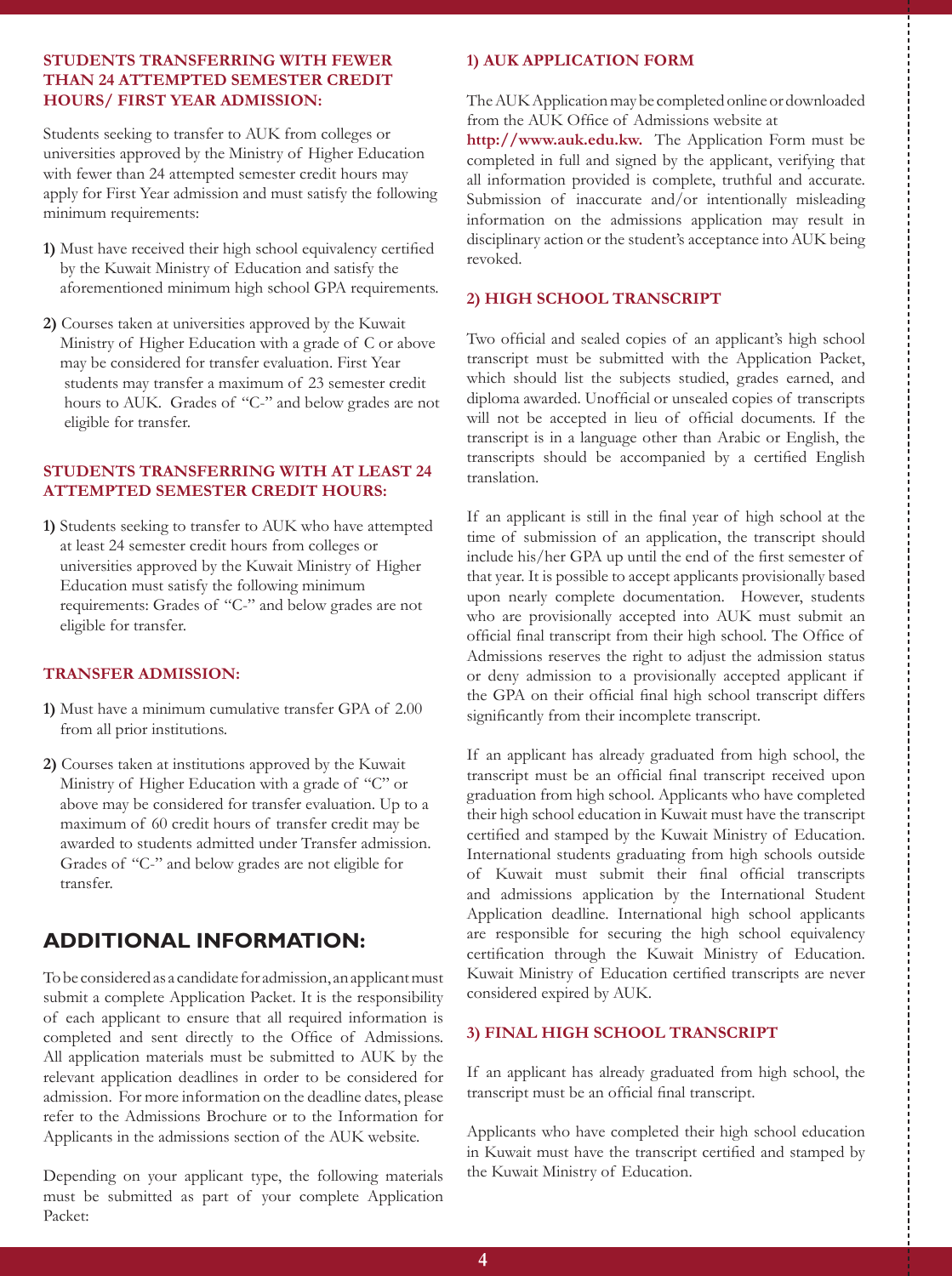#### **Students Transferring with Fewer than 24 Attempted Semester Credit Hours/ First Year Admission:**

Students seeking to transfer to AUK from colleges or universities approved by the Ministry of Higher Education with fewer than 24 attempted semester credit hours may apply for First Year admission and must satisfy the following minimum requirements:

- **1)** Must have received their high school equivalency certified by the Kuwait Ministry of Education and satisfy the aforementioned minimum high school GPA requirements.
- **2)** Courses taken at universities approved by the Kuwait Ministry of Higher Education with a grade of C or above may be considered for transfer evaluation. First Year students may transfer a maximum of 23 semester credit hours to AUK. Grades of "C-" and below grades are not eligible for transfer.

#### **Students Transferring with at Least 24 Attempted Semester Credit Hours:**

**1)** Students seeking to transfer to AUK who have attempted at least 24 semester credit hours from colleges or universities approved by the Kuwait Ministry of Higher Education must satisfy the following minimum requirements: Grades of "C-" and below grades are not eligible for transfer.

#### **Transfer Admission:**

- **1)** Must have a minimum cumulative transfer GPA of 2.00 from all prior institutions.
- **2)** Courses taken at institutions approved by the Kuwait Ministry of Higher Education with a grade of "C" or above may be considered for transfer evaluation. Up to a maximum of 60 credit hours of transfer credit may be awarded to students admitted under Transfer admission. Grades of "C-" and below grades are not eligible for transfer.

# **ADDITIONAL INFORMATION:**

To be considered as a candidate for admission, an applicant must submit a complete Application Packet. It is the responsibility of each applicant to ensure that all required information is completed and sent directly to the Office of Admissions. All application materials must be submitted to AUK by the relevant application deadlines in order to be considered for admission. For more information on the deadline dates, please refer to the Admissions Brochure or to the Information for Applicants in the admissions section of the AUK website.

Depending on your applicant type, the following materials must be submitted as part of your complete Application Packet:

#### **1) AUK Application Form**

The AUK Application may be completed online or downloaded from the AUK Office of Admissions website at

**http://www.auk.edu.kw.** The Application Form must be completed in full and signed by the applicant, verifying that all information provided is complete, truthful and accurate. Submission of inaccurate and/or intentionally misleading information on the admissions application may result in disciplinary action or the student's acceptance into AUK being revoked.

#### **2) High School Transcript**

Two official and sealed copies of an applicant's high school transcript must be submitted with the Application Packet, which should list the subjects studied, grades earned, and diploma awarded. Unofficial or unsealed copies of transcripts will not be accepted in lieu of official documents. If the transcript is in a language other than Arabic or English, the transcripts should be accompanied by a certified English translation.

If an applicant is still in the final year of high school at the time of submission of an application, the transcript should include his/her GPA up until the end of the first semester of that year. It is possible to accept applicants provisionally based upon nearly complete documentation. However, students who are provisionally accepted into AUK must submit an official final transcript from their high school. The Office of Admissions reserves the right to adjust the admission status or deny admission to a provisionally accepted applicant if the GPA on their official final high school transcript differs significantly from their incomplete transcript.

If an applicant has already graduated from high school, the transcript must be an official final transcript received upon graduation from high school. Applicants who have completed their high school education in Kuwait must have the transcript certified and stamped by the Kuwait Ministry of Education. International students graduating from high schools outside of Kuwait must submit their final official transcripts and admissions application by the International Student Application deadline. International high school applicants are responsible for securing the high school equivalency certification through the Kuwait Ministry of Education. Kuwait Ministry of Education certified transcripts are never considered expired by AUK.

#### **3) Final High School Transcript**

If an applicant has already graduated from high school, the transcript must be an official final transcript.

Applicants who have completed their high school education in Kuwait must have the transcript certified and stamped by the Kuwait Ministry of Education.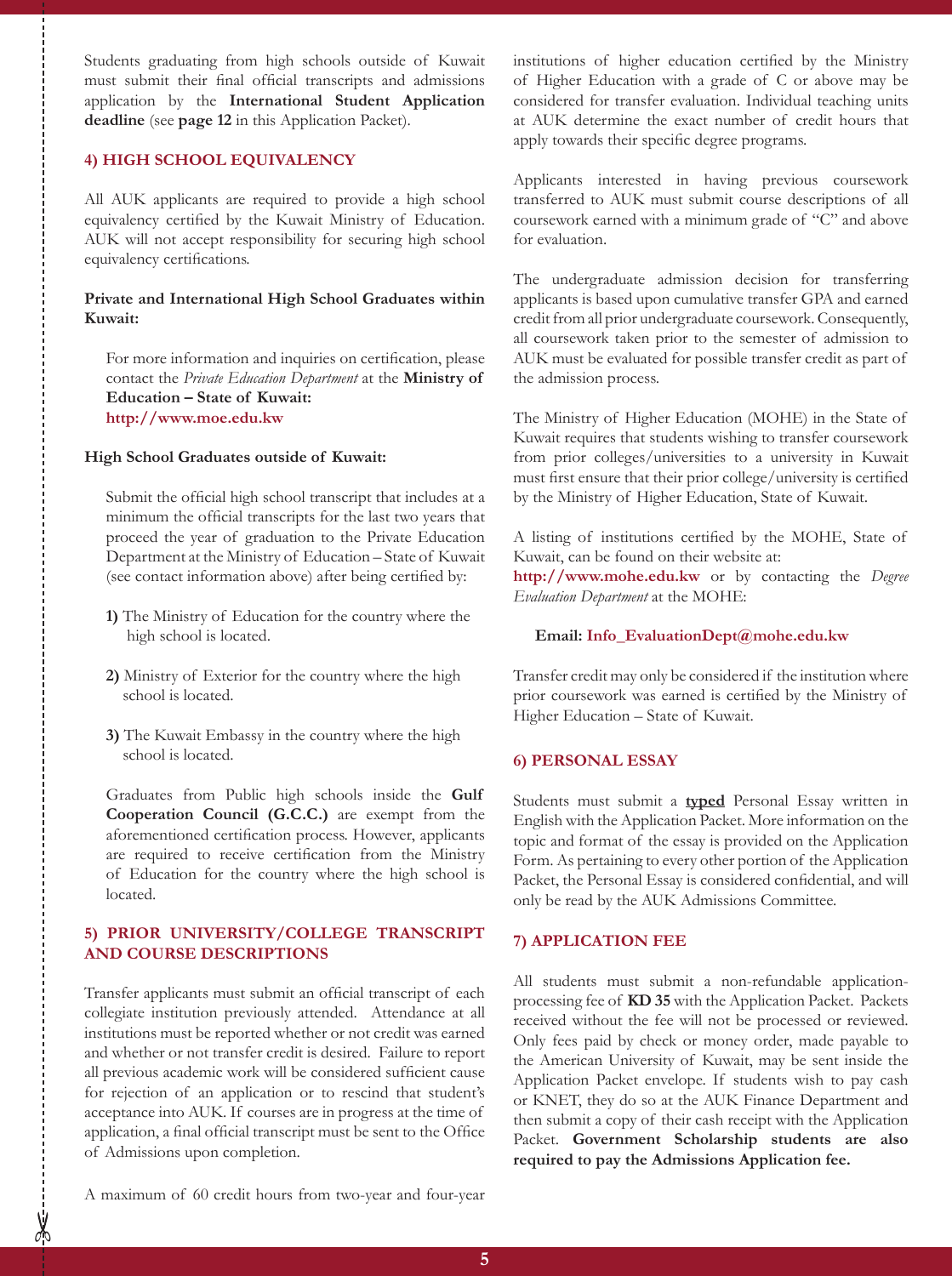Students graduating from high schools outside of Kuwait must submit their final official transcripts and admissions application by the **International Student Application deadline** (see **page 12** in this Application Packet).

#### **4) High School Equivalency**

All AUK applicants are required to provide a high school equivalency certified by the Kuwait Ministry of Education. AUK will not accept responsibility for securing high school equivalency certifications.

#### **Private and International High School Graduates within Kuwait:**

For more information and inquiries on certification, please contact the *Private Education Department* at the **Ministry of Education – State of Kuwait: http://www.moe.edu.kw** 

#### **High School Graduates outside of Kuwait:**

Submit the official high school transcript that includes at a minimum the official transcripts for the last two years that proceed the year of graduation to the Private Education Department at the Ministry of Education – State of Kuwait (see contact information above) after being certified by:

- **1)** The Ministry of Education for the country where the high school is located.
- **2)** Ministry of Exterior for the country where the high school is located.
- **3)** The Kuwait Embassy in the country where the high school is located.

Graduates from Public high schools inside the **Gulf Cooperation Council (G.C.C.)** are exempt from the aforementioned certification process. However, applicants are required to receive certification from the Ministry of Education for the country where the high school is located.

#### **5) Prior University/College Transcript and Course Descriptions**

Transfer applicants must submit an official transcript of each collegiate institution previously attended. Attendance at all institutions must be reported whether or not credit was earned and whether or not transfer credit is desired. Failure to report all previous academic work will be considered sufficient cause for rejection of an application or to rescind that student's acceptance into AUK. If courses are in progress at the time of application, a final official transcript must be sent to the Office of Admissions upon completion.

institutions of higher education certified by the Ministry of Higher Education with a grade of C or above may be considered for transfer evaluation. Individual teaching units at AUK determine the exact number of credit hours that apply towards their specific degree programs.

Applicants interested in having previous coursework transferred to AUK must submit course descriptions of all coursework earned with a minimum grade of "C" and above for evaluation.

The undergraduate admission decision for transferring applicants is based upon cumulative transfer GPA and earned credit from all prior undergraduate coursework. Consequently, all coursework taken prior to the semester of admission to AUK must be evaluated for possible transfer credit as part of the admission process.

The Ministry of Higher Education (MOHE) in the State of Kuwait requires that students wishing to transfer coursework from prior colleges/universities to a university in Kuwait must first ensure that their prior college/university is certified by the Ministry of Higher Education, State of Kuwait.

A listing of institutions certified by the MOHE, State of Kuwait, can be found on their website at:

**http://www.mohe.edu.kw** or by contacting the *Degree Evaluation Department* at the MOHE:

#### **Email: Info\_EvaluationDept@mohe.edu.kw**

Transfer credit may only be considered if the institution where prior coursework was earned is certified by the Ministry of Higher Education – State of Kuwait.

#### **6) Personal Essay**

Students must submit a **typed** Personal Essay written in English with the Application Packet. More information on the topic and format of the essay is provided on the Application Form. As pertaining to every other portion of the Application Packet, the Personal Essay is considered confidential, and will only be read by the AUK Admissions Committee.

#### **7) Application Fee**

All students must submit a non-refundable applicationprocessing fee of **KD 35** with the Application Packet. Packets received without the fee will not be processed or reviewed. Only fees paid by check or money order, made payable to the American University of Kuwait, may be sent inside the Application Packet envelope. If students wish to pay cash or KNET, they do so at the AUK Finance Department and then submit a copy of their cash receipt with the Application Packet. **Government Scholarship students are also required to pay the Admissions Application fee.**

A maximum of 60 credit hours from two-year and four-year